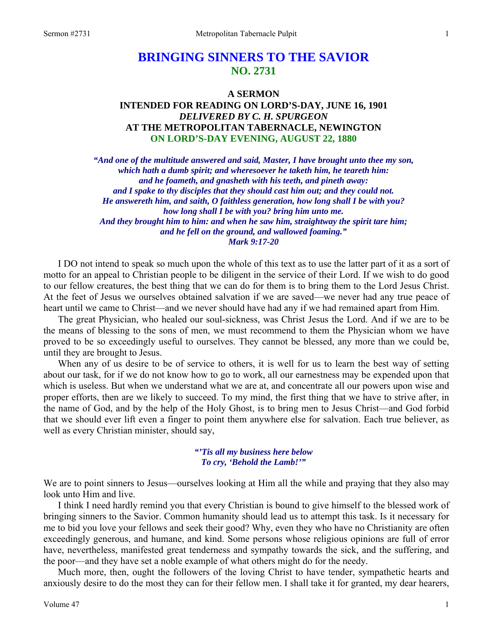# **BRINGING SINNERS TO THE SAVIOR NO. 2731**

## **A SERMON INTENDED FOR READING ON LORD'S-DAY, JUNE 16, 1901**  *DELIVERED BY C. H. SPURGEON*  **AT THE METROPOLITAN TABERNACLE, NEWINGTON ON LORD'S-DAY EVENING, AUGUST 22, 1880**

*"And one of the multitude answered and said, Master, I have brought unto thee my son, which hath a dumb spirit; and wheresoever he taketh him, he teareth him: and he foameth, and gnasheth with his teeth, and pineth away: and I spake to thy disciples that they should cast him out; and they could not. He answereth him, and saith, O faithless generation, how long shall I be with you? how long shall I be with you? bring him unto me. And they brought him to him: and when he saw him, straightway the spirit tare him; and he fell on the ground, and wallowed foaming." Mark 9:17-20* 

I DO not intend to speak so much upon the whole of this text as to use the latter part of it as a sort of motto for an appeal to Christian people to be diligent in the service of their Lord. If we wish to do good to our fellow creatures, the best thing that we can do for them is to bring them to the Lord Jesus Christ. At the feet of Jesus we ourselves obtained salvation if we are saved—we never had any true peace of heart until we came to Christ—and we never should have had any if we had remained apart from Him.

The great Physician, who healed our soul-sickness, was Christ Jesus the Lord. And if we are to be the means of blessing to the sons of men, we must recommend to them the Physician whom we have proved to be so exceedingly useful to ourselves. They cannot be blessed, any more than we could be, until they are brought to Jesus.

When any of us desire to be of service to others, it is well for us to learn the best way of setting about our task, for if we do not know how to go to work, all our earnestness may be expended upon that which is useless. But when we understand what we are at, and concentrate all our powers upon wise and proper efforts, then are we likely to succeed. To my mind, the first thing that we have to strive after, in the name of God, and by the help of the Holy Ghost, is to bring men to Jesus Christ—and God forbid that we should ever lift even a finger to point them anywhere else for salvation. Each true believer, as well as every Christian minister, should say,

> *"'Tis all my business here below To cry, 'Behold the Lamb!'"*

We are to point sinners to Jesus—ourselves looking at Him all the while and praying that they also may look unto Him and live.

I think I need hardly remind you that every Christian is bound to give himself to the blessed work of bringing sinners to the Savior. Common humanity should lead us to attempt this task. Is it necessary for me to bid you love your fellows and seek their good? Why, even they who have no Christianity are often exceedingly generous, and humane, and kind. Some persons whose religious opinions are full of error have, nevertheless, manifested great tenderness and sympathy towards the sick, and the suffering, and the poor—and they have set a noble example of what others might do for the needy.

Much more, then, ought the followers of the loving Christ to have tender, sympathetic hearts and anxiously desire to do the most they can for their fellow men. I shall take it for granted, my dear hearers,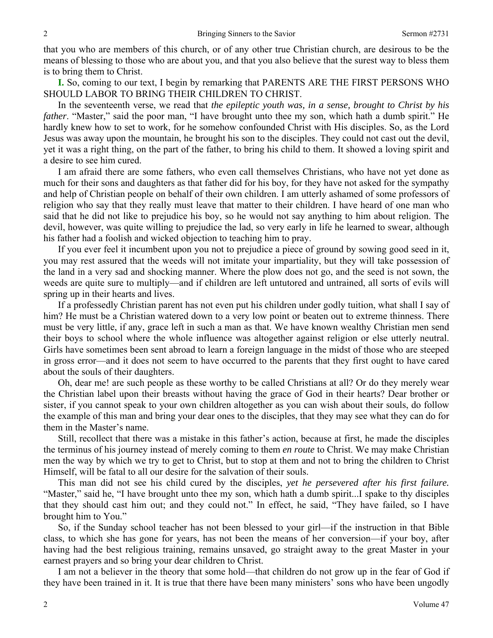that you who are members of this church, or of any other true Christian church, are desirous to be the means of blessing to those who are about you, and that you also believe that the surest way to bless them is to bring them to Christ.

**I.** So, coming to our text, I begin by remarking that PARENTS ARE THE FIRST PERSONS WHO SHOULD LABOR TO BRING THEIR CHILDREN TO CHRIST.

In the seventeenth verse, we read that *the epileptic youth was, in a sense, brought to Christ by his father*. "Master," said the poor man, "I have brought unto thee my son, which hath a dumb spirit." He hardly knew how to set to work, for he somehow confounded Christ with His disciples. So, as the Lord Jesus was away upon the mountain, he brought his son to the disciples. They could not cast out the devil, yet it was a right thing, on the part of the father, to bring his child to them. It showed a loving spirit and a desire to see him cured.

I am afraid there are some fathers, who even call themselves Christians, who have not yet done as much for their sons and daughters as that father did for his boy, for they have not asked for the sympathy and help of Christian people on behalf of their own children. I am utterly ashamed of some professors of religion who say that they really must leave that matter to their children. I have heard of one man who said that he did not like to prejudice his boy, so he would not say anything to him about religion. The devil, however, was quite willing to prejudice the lad, so very early in life he learned to swear, although his father had a foolish and wicked objection to teaching him to pray.

If you ever feel it incumbent upon you not to prejudice a piece of ground by sowing good seed in it, you may rest assured that the weeds will not imitate your impartiality, but they will take possession of the land in a very sad and shocking manner. Where the plow does not go, and the seed is not sown, the weeds are quite sure to multiply—and if children are left untutored and untrained, all sorts of evils will spring up in their hearts and lives.

If a professedly Christian parent has not even put his children under godly tuition, what shall I say of him? He must be a Christian watered down to a very low point or beaten out to extreme thinness. There must be very little, if any, grace left in such a man as that. We have known wealthy Christian men send their boys to school where the whole influence was altogether against religion or else utterly neutral. Girls have sometimes been sent abroad to learn a foreign language in the midst of those who are steeped in gross error—and it does not seem to have occurred to the parents that they first ought to have cared about the souls of their daughters.

Oh, dear me! are such people as these worthy to be called Christians at all? Or do they merely wear the Christian label upon their breasts without having the grace of God in their hearts? Dear brother or sister, if you cannot speak to your own children altogether as you can wish about their souls, do follow the example of this man and bring your dear ones to the disciples, that they may see what they can do for them in the Master's name.

Still, recollect that there was a mistake in this father's action, because at first, he made the disciples the terminus of his journey instead of merely coming to them *en route* to Christ. We may make Christian men the way by which we try to get to Christ, but to stop at them and not to bring the children to Christ Himself, will be fatal to all our desire for the salvation of their souls.

This man did not see his child cured by the disciples, *yet he persevered after his first failure.*  "Master," said he, "I have brought unto thee my son, which hath a dumb spirit...I spake to thy disciples that they should cast him out; and they could not." In effect, he said, "They have failed, so I have brought him to You."

So, if the Sunday school teacher has not been blessed to your girl—if the instruction in that Bible class, to which she has gone for years, has not been the means of her conversion—if your boy, after having had the best religious training, remains unsaved, go straight away to the great Master in your earnest prayers and so bring your dear children to Christ.

I am not a believer in the theory that some hold—that children do not grow up in the fear of God if they have been trained in it. It is true that there have been many ministers' sons who have been ungodly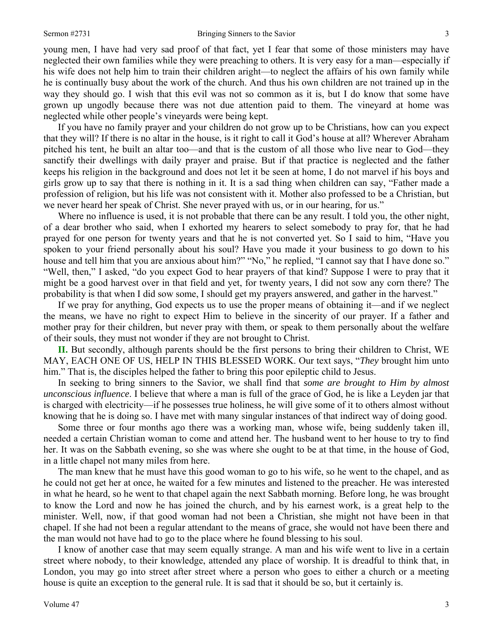young men, I have had very sad proof of that fact, yet I fear that some of those ministers may have neglected their own families while they were preaching to others. It is very easy for a man—especially if his wife does not help him to train their children aright—to neglect the affairs of his own family while he is continually busy about the work of the church. And thus his own children are not trained up in the way they should go. I wish that this evil was not so common as it is, but I do know that some have grown up ungodly because there was not due attention paid to them. The vineyard at home was neglected while other people's vineyards were being kept.

If you have no family prayer and your children do not grow up to be Christians, how can you expect that they will? If there is no altar in the house, is it right to call it God's house at all? Wherever Abraham pitched his tent, he built an altar too—and that is the custom of all those who live near to God—they sanctify their dwellings with daily prayer and praise. But if that practice is neglected and the father keeps his religion in the background and does not let it be seen at home, I do not marvel if his boys and girls grow up to say that there is nothing in it. It is a sad thing when children can say, "Father made a profession of religion, but his life was not consistent with it. Mother also professed to be a Christian, but we never heard her speak of Christ. She never prayed with us, or in our hearing, for us."

Where no influence is used, it is not probable that there can be any result. I told you, the other night, of a dear brother who said, when I exhorted my hearers to select somebody to pray for, that he had prayed for one person for twenty years and that he is not converted yet. So I said to him, "Have you spoken to your friend personally about his soul? Have you made it your business to go down to his house and tell him that you are anxious about him?" "No," he replied, "I cannot say that I have done so." "Well, then," I asked, "do you expect God to hear prayers of that kind? Suppose I were to pray that it might be a good harvest over in that field and yet, for twenty years, I did not sow any corn there? The probability is that when I did sow some, I should get my prayers answered, and gather in the harvest."

If we pray for anything, God expects us to use the proper means of obtaining it—and if we neglect the means, we have no right to expect Him to believe in the sincerity of our prayer. If a father and mother pray for their children, but never pray with them, or speak to them personally about the welfare of their souls, they must not wonder if they are not brought to Christ.

**II.** But secondly, although parents should be the first persons to bring their children to Christ, WE MAY, EACH ONE OF US, HELP IN THIS BLESSED WORK. Our text says, "*They* brought him unto him." That is, the disciples helped the father to bring this poor epileptic child to Jesus.

In seeking to bring sinners to the Savior, we shall find that *some are brought to Him by almost unconscious influence*. I believe that where a man is full of the grace of God, he is like a Leyden jar that is charged with electricity—if he possesses true holiness, he will give some of it to others almost without knowing that he is doing so. I have met with many singular instances of that indirect way of doing good.

Some three or four months ago there was a working man, whose wife, being suddenly taken ill, needed a certain Christian woman to come and attend her. The husband went to her house to try to find her. It was on the Sabbath evening, so she was where she ought to be at that time, in the house of God, in a little chapel not many miles from here.

The man knew that he must have this good woman to go to his wife, so he went to the chapel, and as he could not get her at once, he waited for a few minutes and listened to the preacher. He was interested in what he heard, so he went to that chapel again the next Sabbath morning. Before long, he was brought to know the Lord and now he has joined the church, and by his earnest work, is a great help to the minister. Well, now, if that good woman had not been a Christian, she might not have been in that chapel. If she had not been a regular attendant to the means of grace, she would not have been there and the man would not have had to go to the place where he found blessing to his soul.

I know of another case that may seem equally strange. A man and his wife went to live in a certain street where nobody, to their knowledge, attended any place of worship. It is dreadful to think that, in London, you may go into street after street where a person who goes to either a church or a meeting house is quite an exception to the general rule. It is sad that it should be so, but it certainly is.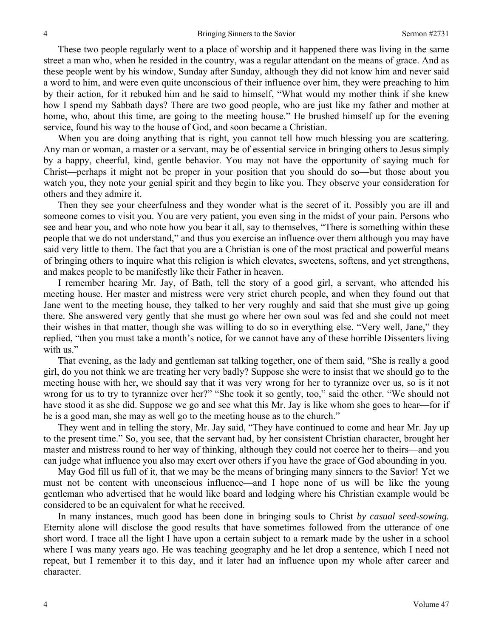These two people regularly went to a place of worship and it happened there was living in the same street a man who, when he resided in the country, was a regular attendant on the means of grace. And as these people went by his window, Sunday after Sunday, although they did not know him and never said a word to him, and were even quite unconscious of their influence over him, they were preaching to him by their action, for it rebuked him and he said to himself, "What would my mother think if she knew how I spend my Sabbath days? There are two good people, who are just like my father and mother at home, who, about this time, are going to the meeting house." He brushed himself up for the evening service, found his way to the house of God, and soon became a Christian.

When you are doing anything that is right, you cannot tell how much blessing you are scattering. Any man or woman, a master or a servant, may be of essential service in bringing others to Jesus simply by a happy, cheerful, kind, gentle behavior. You may not have the opportunity of saying much for Christ—perhaps it might not be proper in your position that you should do so—but those about you watch you, they note your genial spirit and they begin to like you. They observe your consideration for others and they admire it.

Then they see your cheerfulness and they wonder what is the secret of it. Possibly you are ill and someone comes to visit you. You are very patient, you even sing in the midst of your pain. Persons who see and hear you, and who note how you bear it all, say to themselves, "There is something within these people that we do not understand," and thus you exercise an influence over them although you may have said very little to them. The fact that you are a Christian is one of the most practical and powerful means of bringing others to inquire what this religion is which elevates, sweetens, softens, and yet strengthens, and makes people to be manifestly like their Father in heaven.

I remember hearing Mr. Jay, of Bath, tell the story of a good girl, a servant, who attended his meeting house. Her master and mistress were very strict church people, and when they found out that Jane went to the meeting house, they talked to her very roughly and said that she must give up going there. She answered very gently that she must go where her own soul was fed and she could not meet their wishes in that matter, though she was willing to do so in everything else. "Very well, Jane," they replied, "then you must take a month's notice, for we cannot have any of these horrible Dissenters living with us."

That evening, as the lady and gentleman sat talking together, one of them said, "She is really a good girl, do you not think we are treating her very badly? Suppose she were to insist that we should go to the meeting house with her, we should say that it was very wrong for her to tyrannize over us, so is it not wrong for us to try to tyrannize over her?" "She took it so gently, too," said the other. "We should not have stood it as she did. Suppose we go and see what this Mr. Jay is like whom she goes to hear—for if he is a good man, she may as well go to the meeting house as to the church."

They went and in telling the story, Mr. Jay said, "They have continued to come and hear Mr. Jay up to the present time." So, you see, that the servant had, by her consistent Christian character, brought her master and mistress round to her way of thinking, although they could not coerce her to theirs—and you can judge what influence you also may exert over others if you have the grace of God abounding in you.

May God fill us full of it, that we may be the means of bringing many sinners to the Savior! Yet we must not be content with unconscious influence—and I hope none of us will be like the young gentleman who advertised that he would like board and lodging where his Christian example would be considered to be an equivalent for what he received.

In many instances, much good has been done in bringing souls to Christ *by casual seed-sowing.*  Eternity alone will disclose the good results that have sometimes followed from the utterance of one short word. I trace all the light I have upon a certain subject to a remark made by the usher in a school where I was many years ago. He was teaching geography and he let drop a sentence, which I need not repeat, but I remember it to this day, and it later had an influence upon my whole after career and character.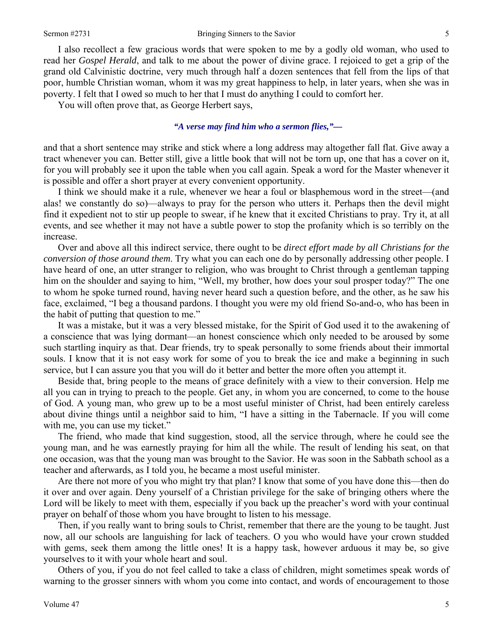I also recollect a few gracious words that were spoken to me by a godly old woman, who used to read her *Gospel Herald*, and talk to me about the power of divine grace. I rejoiced to get a grip of the grand old Calvinistic doctrine, very much through half a dozen sentences that fell from the lips of that poor, humble Christian woman, whom it was my great happiness to help, in later years, when she was in poverty. I felt that I owed so much to her that I must do anything I could to comfort her.

You will often prove that, as George Herbert says,

#### *"A verse may find him who a sermon flies,"—*

and that a short sentence may strike and stick where a long address may altogether fall flat. Give away a tract whenever you can. Better still, give a little book that will not be torn up, one that has a cover on it, for you will probably see it upon the table when you call again. Speak a word for the Master whenever it is possible and offer a short prayer at every convenient opportunity.

I think we should make it a rule, whenever we hear a foul or blasphemous word in the street—(and alas! we constantly do so)—always to pray for the person who utters it. Perhaps then the devil might find it expedient not to stir up people to swear, if he knew that it excited Christians to pray. Try it, at all events, and see whether it may not have a subtle power to stop the profanity which is so terribly on the increase.

Over and above all this indirect service, there ought to be *direct effort made by all Christians for the conversion of those around them*. Try what you can each one do by personally addressing other people. I have heard of one, an utter stranger to religion, who was brought to Christ through a gentleman tapping him on the shoulder and saying to him, "Well, my brother, how does your soul prosper today?" The one to whom he spoke turned round, having never heard such a question before, and the other, as he saw his face, exclaimed, "I beg a thousand pardons. I thought you were my old friend So-and-o, who has been in the habit of putting that question to me."

It was a mistake, but it was a very blessed mistake, for the Spirit of God used it to the awakening of a conscience that was lying dormant—an honest conscience which only needed to be aroused by some such startling inquiry as that. Dear friends, try to speak personally to some friends about their immortal souls. I know that it is not easy work for some of you to break the ice and make a beginning in such service, but I can assure you that you will do it better and better the more often you attempt it.

Beside that, bring people to the means of grace definitely with a view to their conversion. Help me all you can in trying to preach to the people. Get any, in whom you are concerned, to come to the house of God. A young man, who grew up to be a most useful minister of Christ, had been entirely careless about divine things until a neighbor said to him, "I have a sitting in the Tabernacle. If you will come with me, you can use my ticket."

The friend, who made that kind suggestion, stood, all the service through, where he could see the young man, and he was earnestly praying for him all the while. The result of lending his seat, on that one occasion, was that the young man was brought to the Savior. He was soon in the Sabbath school as a teacher and afterwards, as I told you, he became a most useful minister.

Are there not more of you who might try that plan? I know that some of you have done this—then do it over and over again. Deny yourself of a Christian privilege for the sake of bringing others where the Lord will be likely to meet with them, especially if you back up the preacher's word with your continual prayer on behalf of those whom you have brought to listen to his message.

Then, if you really want to bring souls to Christ, remember that there are the young to be taught. Just now, all our schools are languishing for lack of teachers. O you who would have your crown studded with gems, seek them among the little ones! It is a happy task, however arduous it may be, so give yourselves to it with your whole heart and soul.

Others of you, if you do not feel called to take a class of children, might sometimes speak words of warning to the grosser sinners with whom you come into contact, and words of encouragement to those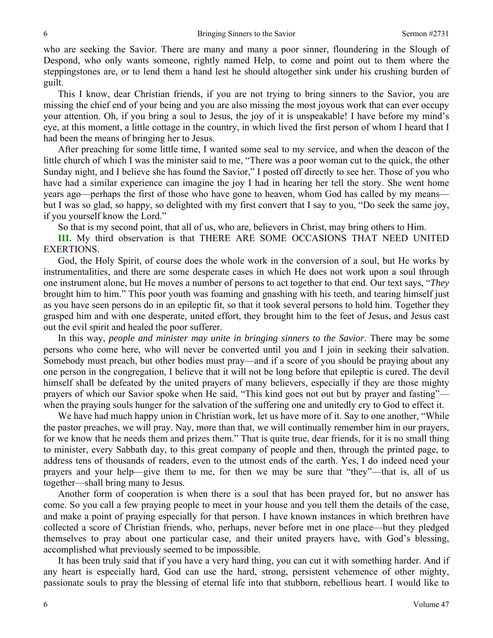who are seeking the Savior. There are many and many a poor sinner, floundering in the Slough of Despond, who only wants someone, rightly named Help, to come and point out to them where the steppingstones are, or to lend them a hand lest he should altogether sink under his crushing burden of guilt.

This I know, dear Christian friends, if you are not trying to bring sinners to the Savior, you are missing the chief end of your being and you are also missing the most joyous work that can ever occupy your attention. Oh, if you bring a soul to Jesus, the joy of it is unspeakable! I have before my mind's eye, at this moment, a little cottage in the country, in which lived the first person of whom I heard that I had been the means of bringing her to Jesus.

After preaching for some little time, I wanted some seal to my service, and when the deacon of the little church of which I was the minister said to me, "There was a poor woman cut to the quick, the other Sunday night, and I believe she has found the Savior," I posted off directly to see her. Those of you who have had a similar experience can imagine the joy I had in hearing her tell the story. She went home years ago—perhaps the first of those who have gone to heaven, whom God has called by my means but I was so glad, so happy, so delighted with my first convert that I say to you, "Do seek the same joy, if you yourself know the Lord."

So that is my second point, that all of us, who are, believers in Christ, may bring others to Him.

**III.** My third observation is that THERE ARE SOME OCCASIONS THAT NEED UNITED EXERTIONS.

God, the Holy Spirit, of course does the whole work in the conversion of a soul, but He works by instrumentalities, and there are some desperate cases in which He does not work upon a soul through one instrument alone, but He moves a number of persons to act together to that end. Our text says, "*They*  brought him to him." This poor youth was foaming and gnashing with his teeth, and tearing himself just as you have seen persons do in an epileptic fit, so that it took several persons to hold him. Together they grasped him and with one desperate, united effort, they brought him to the feet of Jesus, and Jesus cast out the evil spirit and healed the poor sufferer.

In this way, *people and minister may unite in bringing sinners to the Savior*. There may be some persons who come here, who will never be converted until you and I join in seeking their salvation. Somebody must preach, but other bodies must pray—and if a score of you should be praying about any one person in the congregation, I believe that it will not be long before that epileptic is cured. The devil himself shall be defeated by the united prayers of many believers, especially if they are those mighty prayers of which our Savior spoke when He said, "This kind goes not out but by prayer and fasting" when the praying souls hunger for the salvation of the suffering one and unitedly cry to God to effect it.

We have had much happy union in Christian work, let us have more of it. Say to one another, "While the pastor preaches, we will pray. Nay, more than that, we will continually remember him in our prayers, for we know that he needs them and prizes them." That is quite true, dear friends, for it is no small thing to minister, every Sabbath day, to this great company of people and then, through the printed page, to address tens of thousands of readers, even to the utmost ends of the earth. Yes, I do indeed need your prayers and your help—give them to me, for then we may be sure that "they"—that is, all of us together—shall bring many to Jesus.

Another form of cooperation is when there is a soul that has been prayed for, but no answer has come. So you call a few praying people to meet in your house and you tell them the details of the case, and make a point of praying especially for that person. I have known instances in which brethren have collected a score of Christian friends, who, perhaps, never before met in one place—but they pledged themselves to pray about one particular case, and their united prayers have, with God's blessing, accomplished what previously seemed to be impossible.

It has been truly said that if you have a very hard thing, you can cut it with something harder. And if any heart is especially hard, God can use the hard, strong, persistent vehemence of other mighty, passionate souls to pray the blessing of eternal life into that stubborn, rebellious heart. I would like to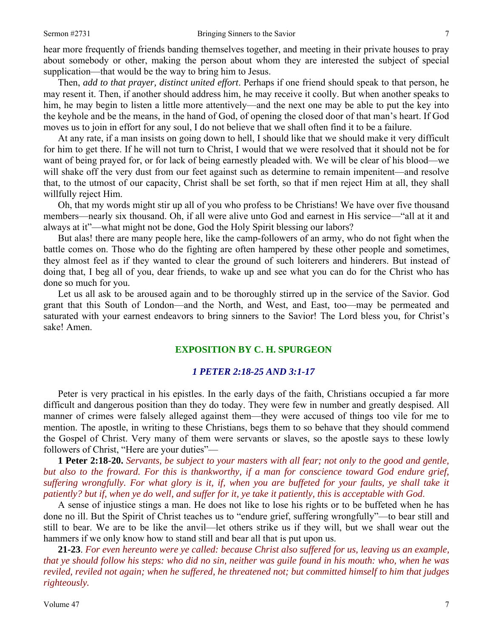hear more frequently of friends banding themselves together, and meeting in their private houses to pray about somebody or other, making the person about whom they are interested the subject of special supplication—that would be the way to bring him to Jesus.

Then, *add to that prayer, distinct united effort*. Perhaps if one friend should speak to that person, he may resent it. Then, if another should address him, he may receive it coolly. But when another speaks to him, he may begin to listen a little more attentively—and the next one may be able to put the key into the keyhole and be the means, in the hand of God, of opening the closed door of that man's heart. If God moves us to join in effort for any soul, I do not believe that we shall often find it to be a failure.

At any rate, if a man insists on going down to hell, I should like that we should make it very difficult for him to get there. If he will not turn to Christ, I would that we were resolved that it should not be for want of being prayed for, or for lack of being earnestly pleaded with. We will be clear of his blood—we will shake off the very dust from our feet against such as determine to remain impenitent—and resolve that, to the utmost of our capacity, Christ shall be set forth, so that if men reject Him at all, they shall willfully reject Him.

Oh, that my words might stir up all of you who profess to be Christians! We have over five thousand members—nearly six thousand. Oh, if all were alive unto God and earnest in His service—"all at it and always at it"—what might not be done, God the Holy Spirit blessing our labors?

But alas! there are many people here, like the camp-followers of an army, who do not fight when the battle comes on. Those who do the fighting are often hampered by these other people and sometimes, they almost feel as if they wanted to clear the ground of such loiterers and hinderers. But instead of doing that, I beg all of you, dear friends, to wake up and see what you can do for the Christ who has done so much for you.

Let us all ask to be aroused again and to be thoroughly stirred up in the service of the Savior. God grant that this South of London—and the North, and West, and East, too—may be permeated and saturated with your earnest endeavors to bring sinners to the Savior! The Lord bless you, for Christ's sake! Amen.

### **EXPOSITION BY C. H. SPURGEON**

#### *1 PETER 2:18-25 AND 3:1-17*

Peter is very practical in his epistles. In the early days of the faith, Christians occupied a far more difficult and dangerous position than they do today. They were few in number and greatly despised. All manner of crimes were falsely alleged against them—they were accused of things too vile for me to mention. The apostle, in writing to these Christians, begs them to so behave that they should commend the Gospel of Christ. Very many of them were servants or slaves, so the apostle says to these lowly followers of Christ, "Here are your duties"—

**1 Peter 2:18-20.** *Servants, be subject to your masters with all fear; not only to the good and gentle, but also to the froward. For this is thankworthy, if a man for conscience toward God endure grief, suffering wrongfully. For what glory is it, if, when you are buffeted for your faults, ye shall take it patiently? but if, when ye do well, and suffer for it, ye take it patiently, this is acceptable with God*.

A sense of injustice stings a man. He does not like to lose his rights or to be buffeted when he has done no ill. But the Spirit of Christ teaches us to "endure grief, suffering wrongfully"—to bear still and still to bear. We are to be like the anvil—let others strike us if they will, but we shall wear out the hammers if we only know how to stand still and bear all that is put upon us.

**21-23**. *For even hereunto were ye called: because Christ also suffered for us, leaving us an example, that ye should follow his steps: who did no sin, neither was guile found in his mouth: who, when he was reviled, reviled not again; when he suffered, he threatened not; but committed himself to him that judges righteously.*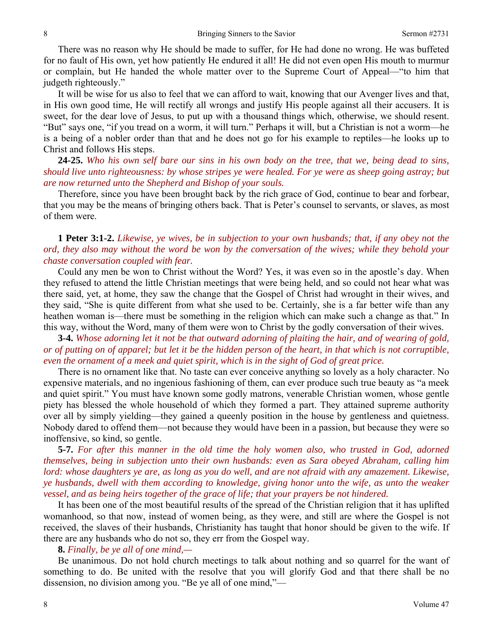There was no reason why He should be made to suffer, for He had done no wrong. He was buffeted for no fault of His own, yet how patiently He endured it all! He did not even open His mouth to murmur or complain, but He handed the whole matter over to the Supreme Court of Appeal—"to him that judgeth righteously."

It will be wise for us also to feel that we can afford to wait, knowing that our Avenger lives and that, in His own good time, He will rectify all wrongs and justify His people against all their accusers. It is sweet, for the dear love of Jesus, to put up with a thousand things which, otherwise, we should resent. "But" says one, "if you tread on a worm, it will turn." Perhaps it will, but a Christian is not a worm—he is a being of a nobler order than that and he does not go for his example to reptiles—he looks up to Christ and follows His steps.

**24-25.** *Who his own self bare our sins in his own body on the tree, that we, being dead to sins, should live unto righteousness: by whose stripes ye were healed. For ye were as sheep going astray; but are now returned unto the Shepherd and Bishop of your souls.* 

Therefore, since you have been brought back by the rich grace of God, continue to bear and forbear, that you may be the means of bringing others back. That is Peter's counsel to servants, or slaves, as most of them were.

## **1 Peter 3:1-2.** *Likewise, ye wives, be in subjection to your own husbands; that, if any obey not the ord, they also may without the word be won by the conversation of the wives; while they behold your chaste conversation coupled with fear.*

Could any men be won to Christ without the Word? Yes, it was even so in the apostle's day. When they refused to attend the little Christian meetings that were being held, and so could not hear what was there said, yet, at home, they saw the change that the Gospel of Christ had wrought in their wives, and they said, "She is quite different from what she used to be. Certainly, she is a far better wife than any heathen woman is—there must be something in the religion which can make such a change as that." In this way, without the Word, many of them were won to Christ by the godly conversation of their wives.

**3-4.** *Whose adorning let it not be that outward adorning of plaiting the hair, and of wearing of gold, or of putting on of apparel; but let it be the hidden person of the heart, in that which is not corruptible, even the ornament of a meek and quiet spirit, which is in the sight of God of great price.* 

There is no ornament like that. No taste can ever conceive anything so lovely as a holy character. No expensive materials, and no ingenious fashioning of them, can ever produce such true beauty as "a meek and quiet spirit." You must have known some godly matrons, venerable Christian women, whose gentle piety has blessed the whole household of which they formed a part. They attained supreme authority over all by simply yielding—they gained a queenly position in the house by gentleness and quietness. Nobody dared to offend them—not because they would have been in a passion, but because they were so inoffensive, so kind, so gentle.

**5-7.** *For after this manner in the old time the holy women also, who trusted in God, adorned themselves, being in subjection unto their own husbands: even as Sara obeyed Abraham, calling him lord: whose daughters ye are, as long as you do well, and are not afraid with any amazement. Likewise, ye husbands, dwell with them according to knowledge, giving honor unto the wife, as unto the weaker vessel, and as being heirs together of the grace of life; that your prayers be not hindered.* 

It has been one of the most beautiful results of the spread of the Christian religion that it has uplifted womanhood, so that now, instead of women being, as they were, and still are where the Gospel is not received, the slaves of their husbands, Christianity has taught that honor should be given to the wife. If there are any husbands who do not so, they err from the Gospel way.

**8.** *Finally, be ye all of one mind,—* 

Be unanimous. Do not hold church meetings to talk about nothing and so quarrel for the want of something to do. Be united with the resolve that you will glorify God and that there shall be no dissension, no division among you. "Be ye all of one mind,"—